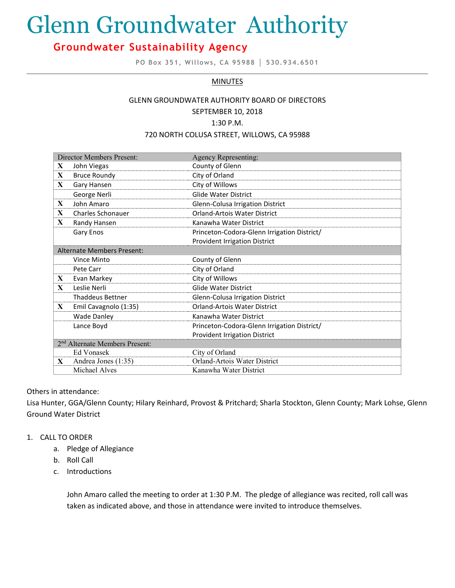# Glenn Groundwater Authority

# **Groundwater Sustainability Agency**

**PO Box 351, Willows, CA 95988 │ 530.934.6501**

# **MINUTES**

# GLENN GROUNDWATER AUTHORITY BOARD OF DIRECTORS SEPTEMBER 10, 2018

1:30 P.M.

#### 720 NORTH COLUSA STREET, WILLOWS, CA 95988

| Director Members Present:                  |                          | Agency Representing:                        |
|--------------------------------------------|--------------------------|---------------------------------------------|
| X                                          | John Viegas              | County of Glenn                             |
| X                                          | <b>Bruce Roundy</b>      | City of Orland                              |
| X                                          | Gary Hansen              | City of Willows                             |
|                                            | George Nerli             | <b>Glide Water District</b>                 |
| X                                          | John Amaro               | Glenn-Colusa Irrigation District            |
| X                                          | <b>Charles Schonauer</b> | <b>Orland-Artois Water District</b>         |
| $\mathbf{X}$                               | Randy Hansen             | Kanawha Water District                      |
|                                            | Gary Enos                | Princeton-Codora-Glenn Irrigation District/ |
|                                            |                          | <b>Provident Irrigation District</b>        |
| <b>Alternate Members Present:</b>          |                          |                                             |
|                                            | Vince Minto              | County of Glenn                             |
|                                            | Pete Carr                | City of Orland                              |
| X                                          | Evan Markey              | City of Willows                             |
| $\mathbf{X}$                               | Leslie Nerli             | <b>Glide Water District</b>                 |
|                                            | <b>Thaddeus Bettner</b>  | Glenn-Colusa Irrigation District            |
| X                                          | Emil Cavagnolo (1:35)    | <b>Orland-Artois Water District</b>         |
|                                            | <b>Wade Danley</b>       | Kanawha Water District                      |
|                                            | Lance Boyd               | Princeton-Codora-Glenn Irrigation District/ |
|                                            |                          | <b>Provident Irrigation District</b>        |
| 2 <sup>nd</sup> Alternate Members Present: |                          |                                             |
|                                            | Ed Vonasek               | City of Orland                              |
| $\mathbf{X}$                               | Andrea Jones (1:35)      | Orland-Artois Water District                |
|                                            | Michael Alves            | Kanawha Water District                      |

# Others in attendance:

Lisa Hunter, GGA/Glenn County; Hilary Reinhard, Provost & Pritchard; Sharla Stockton, Glenn County; Mark Lohse, Glenn Ground Water District

# 1. CALL TO ORDER

- a. Pledge of Allegiance
- b. Roll Call
- c. Introductions

John Amaro called the meeting to order at 1:30 P.M. The pledge of allegiance was recited, roll call was taken as indicated above, and those in attendance were invited to introduce themselves.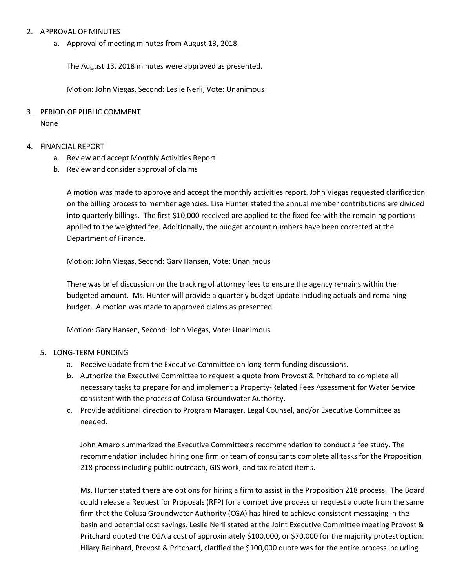# 2. APPROVAL OF MINUTES

a. Approval of meeting minutes from August 13, 2018.

The August 13, 2018 minutes were approved as presented.

Motion: John Viegas, Second: Leslie Nerli, Vote: Unanimous

3. PERIOD OF PUBLIC COMMENT None

# 4. FINANCIAL REPORT

- a. Review and accept Monthly Activities Report
- b. Review and consider approval of claims

A motion was made to approve and accept the monthly activities report. John Viegas requested clarification on the billing process to member agencies. Lisa Hunter stated the annual member contributions are divided into quarterly billings. The first \$10,000 received are applied to the fixed fee with the remaining portions applied to the weighted fee. Additionally, the budget account numbers have been corrected at the Department of Finance.

Motion: John Viegas, Second: Gary Hansen, Vote: Unanimous

There was brief discussion on the tracking of attorney fees to ensure the agency remains within the budgeted amount. Ms. Hunter will provide a quarterly budget update including actuals and remaining budget. A motion was made to approved claims as presented.

Motion: Gary Hansen, Second: John Viegas, Vote: Unanimous

# 5. LONG-TERM FUNDING

- a. Receive update from the Executive Committee on long-term funding discussions.
- b. Authorize the Executive Committee to request a quote from Provost & Pritchard to complete all necessary tasks to prepare for and implement a Property-Related Fees Assessment for Water Service consistent with the process of Colusa Groundwater Authority.
- c. Provide additional direction to Program Manager, Legal Counsel, and/or Executive Committee as needed.

John Amaro summarized the Executive Committee's recommendation to conduct a fee study. The recommendation included hiring one firm or team of consultants complete all tasks for the Proposition 218 process including public outreach, GIS work, and tax related items.

Ms. Hunter stated there are options for hiring a firm to assist in the Proposition 218 process. The Board could release a Request for Proposals (RFP) for a competitive process or request a quote from the same firm that the Colusa Groundwater Authority (CGA) has hired to achieve consistent messaging in the basin and potential cost savings. Leslie Nerli stated at the Joint Executive Committee meeting Provost & Pritchard quoted the CGA a cost of approximately \$100,000, or \$70,000 for the majority protest option. Hilary Reinhard, Provost & Pritchard, clarified the \$100,000 quote was for the entire process including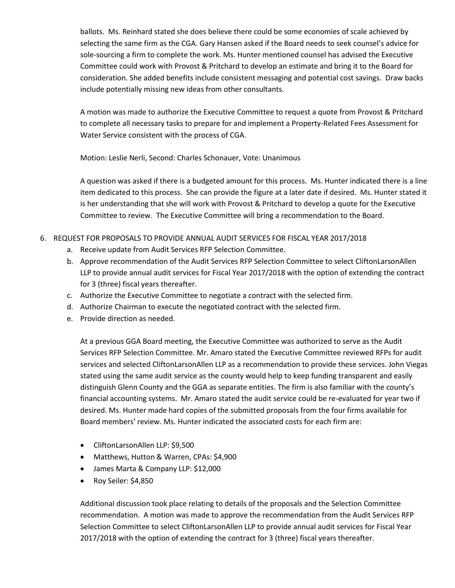ballots. Ms. Reinhard stated she does believe there could be some economies of scale achieved by selecting the same firm as the CGA. Gary Hansen asked if the Board needs to seek counsel's advice for sole-sourcing a firm to complete the work. Ms. Hunter mentioned counsel has advised the Executive Committee could work with Provost & Pritchard to develop an estimate and bring it to the Board for consideration. She added benefits include consistent messaging and potential cost savings. Draw backs include potentially missing new ideas from other consultants.

A motion was made to authorize the Executive Committee to request a quote from Provost & Pritchard to complete all necessary tasks to prepare for and implement a Property-Related Fees Assessment for Water Service consistent with the process of CGA.

Motion: Leslie Nerli, Second: Charles Schonauer, Vote: Unanimous

A question was asked if there is a budgeted amount for this process. Ms. Hunter indicated there is a line item dedicated to this process. She can provide the figure at a later date if desired. Ms. Hunter stated it is her understanding that she will work with Provost & Pritchard to develop a quote for the Executive Committee to review. The Executive Committee will bring a recommendation to the Board.

# 6. REQUEST FOR PROPOSALS TO PROVIDE ANNUAL AUDIT SERVICES FOR FISCAL YEAR 2017/2018

- a. Receive update from Audit Services RFP Selection Committee.
- b. Approve recommendation of the Audit Services RFP Selection Committee to select CliftonLarsonAllen LLP to provide annual audit services for Fiscal Year 2017/2018 with the option of extending the contract for 3 (three) fiscal years thereafter.
- c. Authorize the Executive Committee to negotiate a contract with the selected firm.
- d. Authorize Chairman to execute the negotiated contract with the selected firm.
- e. Provide direction as needed.

At a previous GGA Board meeting, the Executive Committee was authorized to serve as the Audit Services RFP Selection Committee. Mr. Amaro stated the Executive Committee reviewed RFPs for audit services and selected CliftonLarsonAllen LLP as a recommendation to provide these services. John Viegas stated using the same audit service as the county would help to keep funding transparent and easily distinguish Glenn County and the GGA as separate entities. The firm is also familiar with the county's financial accounting systems. Mr. Amaro stated the audit service could be re-evaluated for year two if desired. Ms. Hunter made hard copies of the submitted proposals from the four firms available for Board members' review. Ms. Hunter indicated the associated costs for each firm are:

- CliftonLarsonAllen LLP: \$9,500
- Matthews, Hutton & Warren, CPAs: \$4,900
- James Marta & Company LLP: \$12,000
- Roy Seiler: \$4,850

Additional discussion took place relating to details of the proposals and the Selection Committee recommendation. A motion was made to approve the recommendation from the Audit Services RFP Selection Committee to select CliftonLarsonAllen LLP to provide annual audit services for Fiscal Year 2017/2018 with the option of extending the contract for 3 (three) fiscal years thereafter.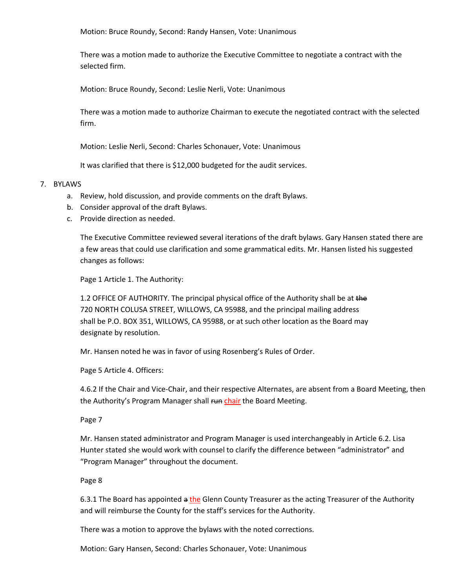Motion: Bruce Roundy, Second: Randy Hansen, Vote: Unanimous

There was a motion made to authorize the Executive Committee to negotiate a contract with the selected firm.

Motion: Bruce Roundy, Second: Leslie Nerli, Vote: Unanimous

There was a motion made to authorize Chairman to execute the negotiated contract with the selected firm.

Motion: Leslie Nerli, Second: Charles Schonauer, Vote: Unanimous

It was clarified that there is \$12,000 budgeted for the audit services.

# 7. BYLAWS

- a. Review, hold discussion, and provide comments on the draft Bylaws.
- b. Consider approval of the draft Bylaws.
- c. Provide direction as needed.

The Executive Committee reviewed several iterations of the draft bylaws. Gary Hansen stated there are a few areas that could use clarification and some grammatical edits. Mr. Hansen listed his suggested changes as follows:

Page 1 Article 1. The Authority:

1.2 OFFICE OF AUTHORITY. The principal physical office of the Authority shall be at the 720 NORTH COLUSA STREET, WILLOWS, CA 95988, and the principal mailing address shall be P.O. BOX 351, WILLOWS, CA 95988, or at such other location as the Board may designate by resolution.

Mr. Hansen noted he was in favor of using Rosenberg's Rules of Order.

Page 5 Article 4. Officers:

4.6.2 If the Chair and Vice-Chair, and their respective Alternates, are absent from a Board Meeting, then the Authority's Program Manager shall run chair the Board Meeting.

Page 7

Mr. Hansen stated administrator and Program Manager is used interchangeably in Article 6.2. Lisa Hunter stated she would work with counsel to clarify the difference between "administrator" and "Program Manager" throughout the document.

Page 8

6.3.1 The Board has appointed a the Glenn County Treasurer as the acting Treasurer of the Authority and will reimburse the County for the staff's services for the Authority.

There was a motion to approve the bylaws with the noted corrections.

Motion: Gary Hansen, Second: Charles Schonauer, Vote: Unanimous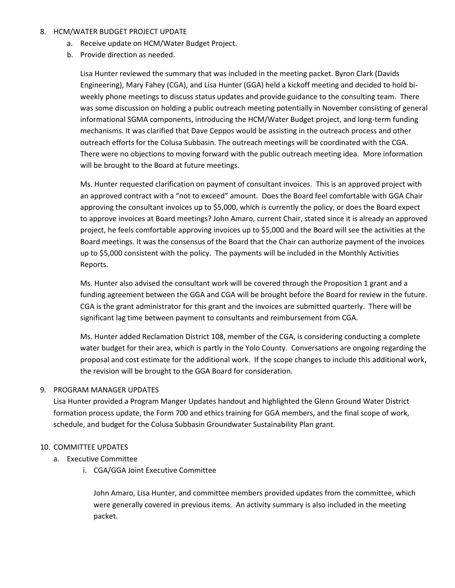# 8. HCM/WATER BUDGET PROJECT UPDATE

- a. Receive update on HCM/Water Budget Project.
- b. Provide direction as needed.

Lisa Hunter reviewed the summary that was included in the meeting packet. Byron Clark (Davids Engineering), Mary Fahey (CGA), and Lisa Hunter (GGA) held a kickoff meeting and decided to hold biweekly phone meetings to discuss status updates and provide guidance to the consulting team. There was some discussion on holding a public outreach meeting potentially in November consisting of general informational SGMA components, introducing the HCM/Water Budget project, and long-term funding mechanisms. It was clarified that Dave Ceppos would be assisting in the outreach process and other outreach efforts for the Colusa Subbasin. The outreach meetings will be coordinated with the CGA. There were no objections to moving forward with the public outreach meeting idea. More information will be brought to the Board at future meetings.

Ms. Hunter requested clarification on payment of consultant invoices. This is an approved project with an approved contract with a "not to exceed" amount. Does the Board feel comfortable with GGA Chair approving the consultant invoices up to \$5,000, which is currently the policy, or does the Board expect to approve invoices at Board meetings? John Amaro, current Chair, stated since it is already an approved project, he feels comfortable approving invoices up to \$5,000 and the Board will see the activities at the Board meetings. It was the consensus of the Board that the Chair can authorize payment of the invoices up to \$5,000 consistent with the policy. The payments will be included in the Monthly Activities Reports.

Ms. Hunter also advised the consultant work will be covered through the Proposition 1 grant and a funding agreement between the GGA and CGA will be brought before the Board for review in the future. CGA is the grant administrator for this grant and the invoices are submitted quarterly. There will be significant lag time between payment to consultants and reimbursement from CGA.

Ms. Hunter added Reclamation District 108, member of the CGA, is considering conducting a complete water budget for their area, which is partly in the Yolo County. Conversations are ongoing regarding the proposal and cost estimate for the additional work. If the scope changes to include this additional work, the revision will be brought to the GGA Board for consideration.

# 9. PROGRAM MANAGER UPDATES

Lisa Hunter provided a Program Manger Updates handout and highlighted the Glenn Ground Water District formation process update, the Form 700 and ethics training for GGA members, and the final scope of work, schedule, and budget for the Colusa Subbasin Groundwater Sustainability Plan grant.

# 10. COMMITTEE UPDATES

- a. Executive Committee
	- i. CGA/GGA Joint Executive Committee

John Amaro, Lisa Hunter, and committee members provided updates from the committee, which were generally covered in previous items. An activity summary is also included in the meeting packet.